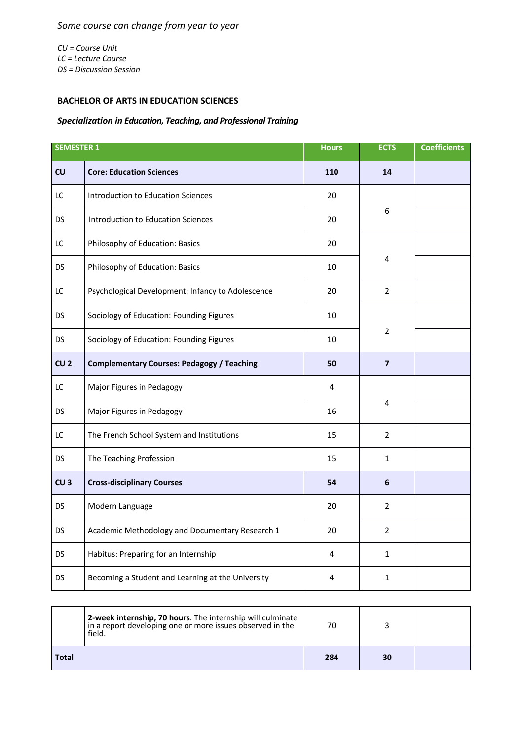*CU = Course Unit LC = Lecture Course DS = Discussion Session*

## **BACHELOR OF ARTS IN EDUCATION SCIENCES**

## *Specialization in Education, Teaching, and Professional Training*

| <b>SEMESTER 1</b> |                                                   | <b>Hours</b> | <b>ECTS</b>    | <b>Coefficients</b> |
|-------------------|---------------------------------------------------|--------------|----------------|---------------------|
| CU                | <b>Core: Education Sciences</b>                   | 110          | 14             |                     |
| LC                | <b>Introduction to Education Sciences</b>         | 20           |                |                     |
| DS                | Introduction to Education Sciences                | 20           | 6              |                     |
| LC                | Philosophy of Education: Basics                   | 20           |                |                     |
| DS                | Philosophy of Education: Basics                   | 10           | 4              |                     |
| LC                | Psychological Development: Infancy to Adolescence | 20           | $\overline{2}$ |                     |
| DS                | Sociology of Education: Founding Figures          | 10           |                |                     |
| DS                | Sociology of Education: Founding Figures          | 10           | $\overline{2}$ |                     |
| CU <sub>2</sub>   | <b>Complementary Courses: Pedagogy / Teaching</b> | 50           | $\overline{7}$ |                     |
| LC                | Major Figures in Pedagogy                         | 4            |                |                     |
| <b>DS</b>         | Major Figures in Pedagogy                         | 16           | 4              |                     |
| LC                | The French School System and Institutions         | 15           | 2              |                     |
| <b>DS</b>         | The Teaching Profession                           | 15           | $\mathbf{1}$   |                     |
| CU <sub>3</sub>   | <b>Cross-disciplinary Courses</b>                 | 54           | 6              |                     |
| DS                | Modern Language                                   | 20           | $\overline{2}$ |                     |
| DS                | Academic Methodology and Documentary Research 1   | 20           | $\overline{2}$ |                     |
| DS                | Habitus: Preparing for an Internship              | 4            | 1              |                     |
| DS                | Becoming a Student and Learning at the University | 4            | $\mathbf{1}$   |                     |

|              | 2-week internship, 70 hours. The internship will culminate<br>in a report developing one or more issues observed in the<br>field. | 70  |    |  |
|--------------|-----------------------------------------------------------------------------------------------------------------------------------|-----|----|--|
| <b>Total</b> |                                                                                                                                   | 284 | 30 |  |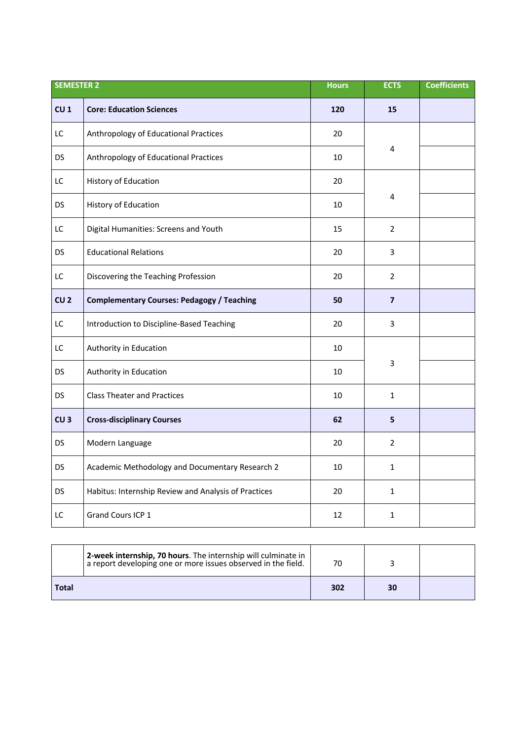|                 | <b>SEMESTER 2</b>                                    |     | <b>ECTS</b>    | <b>Coefficients</b> |
|-----------------|------------------------------------------------------|-----|----------------|---------------------|
| CU <sub>1</sub> | <b>Core: Education Sciences</b>                      | 120 | 15             |                     |
| LC              | Anthropology of Educational Practices                | 20  |                |                     |
| <b>DS</b>       | Anthropology of Educational Practices                | 10  | 4              |                     |
| LC              | <b>History of Education</b>                          | 20  |                |                     |
| <b>DS</b>       | <b>History of Education</b>                          | 10  | 4              |                     |
| LC              | Digital Humanities: Screens and Youth                | 15  | $\overline{2}$ |                     |
| <b>DS</b>       | <b>Educational Relations</b>                         | 20  | 3              |                     |
| LC              | Discovering the Teaching Profession                  | 20  | $\overline{2}$ |                     |
| CU <sub>2</sub> | <b>Complementary Courses: Pedagogy / Teaching</b>    | 50  | $\overline{7}$ |                     |
| LC              | Introduction to Discipline-Based Teaching            | 20  | 3              |                     |
| LC              | Authority in Education                               | 10  |                |                     |
| <b>DS</b>       | Authority in Education                               | 10  | 3              |                     |
| <b>DS</b>       | <b>Class Theater and Practices</b>                   | 10  | $\mathbf{1}$   |                     |
| CU <sub>3</sub> | <b>Cross-disciplinary Courses</b>                    | 62  | 5              |                     |
| <b>DS</b>       | Modern Language                                      | 20  | $\overline{2}$ |                     |
| DS              | Academic Methodology and Documentary Research 2      | 10  | $\mathbf{1}$   |                     |
| <b>DS</b>       | Habitus: Internship Review and Analysis of Practices | 20  | $\mathbf{1}$   |                     |
| LC              | Grand Cours ICP 1                                    | 12  | $\mathbf{1}$   |                     |

|       | 2-week internship, 70 hours. The internship will culminate in<br>a report developing one or more issues observed in the field. | 70  |    |  |
|-------|--------------------------------------------------------------------------------------------------------------------------------|-----|----|--|
| Total |                                                                                                                                | 302 | 30 |  |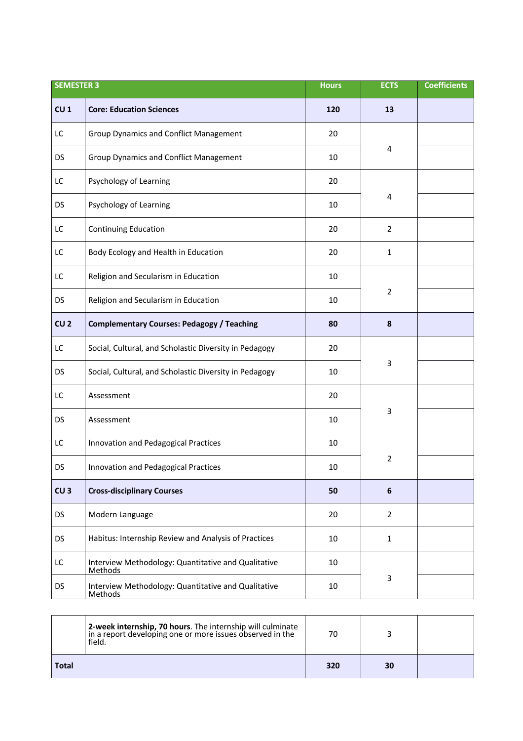| <b>SEMESTER 3</b> |                                                                       | <b>Hours</b> | <b>ECTS</b>     | <b>Coefficients</b> |
|-------------------|-----------------------------------------------------------------------|--------------|-----------------|---------------------|
| CU <sub>1</sub>   | <b>Core: Education Sciences</b>                                       | 120          | 13              |                     |
| LC                | <b>Group Dynamics and Conflict Management</b>                         | 20           |                 |                     |
| <b>DS</b>         | <b>Group Dynamics and Conflict Management</b>                         | 10           | 4               |                     |
| LC                | Psychology of Learning                                                | 20           |                 |                     |
| <b>DS</b>         | Psychology of Learning                                                | 10           | 4               |                     |
| LC                | <b>Continuing Education</b>                                           | 20           | $\overline{2}$  |                     |
| LC                | Body Ecology and Health in Education                                  | 20           | 1               |                     |
| LC                | Religion and Secularism in Education                                  | 10           |                 |                     |
| DS                | Religion and Secularism in Education                                  | 10           | $\overline{2}$  |                     |
| CU <sub>2</sub>   | <b>Complementary Courses: Pedagogy / Teaching</b>                     | 80           | $\pmb{8}$       |                     |
| LC                | Social, Cultural, and Scholastic Diversity in Pedagogy                | 20           |                 |                     |
| <b>DS</b>         | Social, Cultural, and Scholastic Diversity in Pedagogy                | 10           | 3               |                     |
| LC                | Assessment                                                            | 20           |                 |                     |
| <b>DS</b>         | Assessment                                                            | 10           | 3               |                     |
| LC                | Innovation and Pedagogical Practices                                  | 10           |                 |                     |
| DS                | Innovation and Pedagogical Practices                                  | 10           | $\overline{2}$  |                     |
| CU <sub>3</sub>   | <b>Cross-disciplinary Courses</b>                                     | 50           | $6\phantom{1}6$ |                     |
| <b>DS</b>         | Modern Language                                                       | 20           | $\overline{2}$  |                     |
| <b>DS</b>         | Habitus: Internship Review and Analysis of Practices                  | 10           | $\mathbf{1}$    |                     |
| LC                | Interview Methodology: Quantitative and Qualitative<br>Methods        | 10           |                 |                     |
| <b>DS</b>         | Interview Methodology: Quantitative and Qualitative<br><b>Methods</b> | 10           | 3               |                     |

|              | 2-week internship, 70 hours. The internship will culminate<br>in a report developing one or more issues observed in the<br>field. | 70  |    |  |
|--------------|-----------------------------------------------------------------------------------------------------------------------------------|-----|----|--|
| <b>Total</b> |                                                                                                                                   | 320 | 30 |  |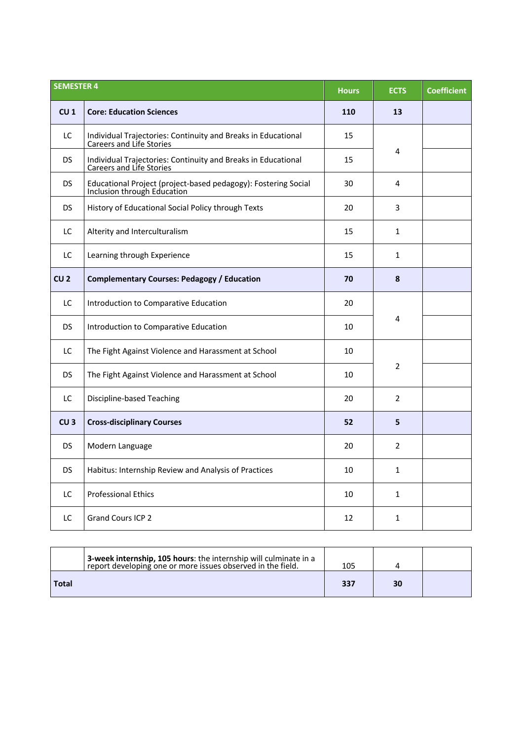|                 | <b>SEMESTER 4</b>                                                                                |     | <b>ECTS</b>    | <b>Coefficient</b> |
|-----------------|--------------------------------------------------------------------------------------------------|-----|----------------|--------------------|
| CU <sub>1</sub> | <b>Core: Education Sciences</b>                                                                  | 110 | 13             |                    |
| LC              | Individual Trajectories: Continuity and Breaks in Educational<br>Careers and Life Stories        | 15  |                |                    |
| <b>DS</b>       | Individual Trajectories: Continuity and Breaks in Educational<br><b>Careers and Life Stories</b> | 15  | 4              |                    |
| <b>DS</b>       | Educational Project (project-based pedagogy): Fostering Social<br>Inclusion through Education    | 30  | 4              |                    |
| <b>DS</b>       | History of Educational Social Policy through Texts                                               | 20  | 3              |                    |
| LC              | Alterity and Interculturalism                                                                    | 15  | $\mathbf{1}$   |                    |
| LC              | Learning through Experience                                                                      | 15  | $\mathbf{1}$   |                    |
| CU <sub>2</sub> | <b>Complementary Courses: Pedagogy / Education</b>                                               | 70  | 8              |                    |
| LC              | Introduction to Comparative Education                                                            | 20  |                |                    |
| <b>DS</b>       | Introduction to Comparative Education                                                            | 10  | 4              |                    |
| LC              | The Fight Against Violence and Harassment at School                                              | 10  |                |                    |
| <b>DS</b>       | The Fight Against Violence and Harassment at School                                              | 10  | $\overline{2}$ |                    |
| LC              | <b>Discipline-based Teaching</b>                                                                 | 20  | $\overline{2}$ |                    |
| CU <sub>3</sub> | <b>Cross-disciplinary Courses</b>                                                                | 52  | 5              |                    |
| <b>DS</b>       | Modern Language                                                                                  | 20  | $\overline{2}$ |                    |
| DS.             | Habitus: Internship Review and Analysis of Practices                                             | 10  | $\mathbf{1}$   |                    |
| LC              | <b>Professional Ethics</b>                                                                       | 10  | $\mathbf{1}$   |                    |
| LC              | <b>Grand Cours ICP 2</b>                                                                         | 12  | $\mathbf{1}$   |                    |

|       | 3-week internship, 105 hours: the internship will culminate in a<br>report developing one or more issues observed in the field. | 105 |    |  |
|-------|---------------------------------------------------------------------------------------------------------------------------------|-----|----|--|
| Total |                                                                                                                                 | 337 | 30 |  |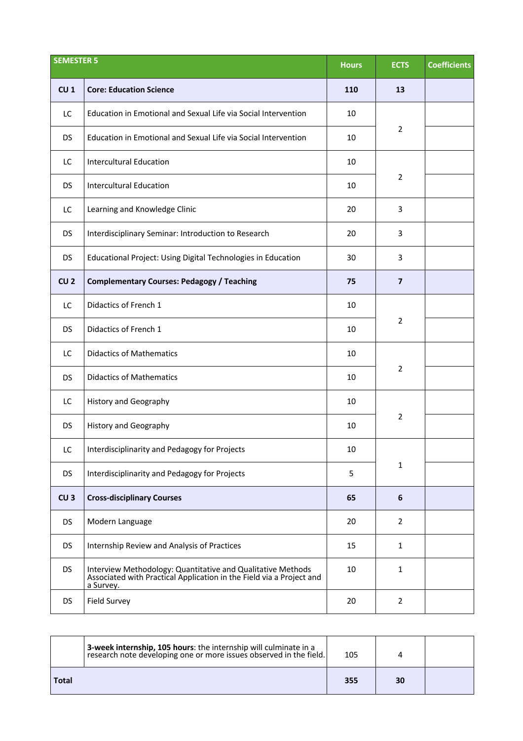|                 | <b>SEMESTER 5</b>                                                                                                                                |     | <b>ECTS</b>    | <b>Coefficients</b> |
|-----------------|--------------------------------------------------------------------------------------------------------------------------------------------------|-----|----------------|---------------------|
| CU <sub>1</sub> | <b>Core: Education Science</b>                                                                                                                   | 110 | 13             |                     |
| LC              | Education in Emotional and Sexual Life via Social Intervention                                                                                   | 10  |                |                     |
| <b>DS</b>       | Education in Emotional and Sexual Life via Social Intervention                                                                                   | 10  | $\overline{2}$ |                     |
| LC              | <b>Intercultural Education</b>                                                                                                                   | 10  |                |                     |
| <b>DS</b>       | <b>Intercultural Education</b>                                                                                                                   | 10  | $\overline{2}$ |                     |
| LC              | Learning and Knowledge Clinic                                                                                                                    | 20  | 3              |                     |
| <b>DS</b>       | Interdisciplinary Seminar: Introduction to Research                                                                                              | 20  | 3              |                     |
| <b>DS</b>       | Educational Project: Using Digital Technologies in Education                                                                                     | 30  | 3              |                     |
| CU <sub>2</sub> | <b>Complementary Courses: Pedagogy / Teaching</b>                                                                                                | 75  | $\overline{7}$ |                     |
| LC              | Didactics of French 1                                                                                                                            | 10  |                |                     |
| <b>DS</b>       | Didactics of French 1                                                                                                                            | 10  | $\overline{2}$ |                     |
| LC              | <b>Didactics of Mathematics</b>                                                                                                                  | 10  |                |                     |
| <b>DS</b>       | <b>Didactics of Mathematics</b>                                                                                                                  | 10  | $\overline{2}$ |                     |
| LC              | <b>History and Geography</b>                                                                                                                     | 10  |                |                     |
| <b>DS</b>       | History and Geography                                                                                                                            | 10  | $\overline{2}$ |                     |
| LC.             | Interdisciplinarity and Pedagogy for Projects                                                                                                    | 10  |                |                     |
| <b>DS</b>       | Interdisciplinarity and Pedagogy for Projects                                                                                                    | 5   | $\mathbf{1}$   |                     |
| CU <sub>3</sub> | <b>Cross-disciplinary Courses</b>                                                                                                                | 65  | 6              |                     |
| DS              | Modern Language                                                                                                                                  | 20  | $\overline{2}$ |                     |
| <b>DS</b>       | Internship Review and Analysis of Practices                                                                                                      | 15  | $\mathbf{1}$   |                     |
| <b>DS</b>       | Interview Methodology: Quantitative and Qualitative Methods<br>Associated with Practical Application in the Field via a Project and<br>a Survey. | 10  | $\mathbf{1}$   |                     |
| <b>DS</b>       | <b>Field Survey</b>                                                                                                                              | 20  | $\overline{2}$ |                     |

|              | 3-week internship, 105 hours: the internship will culminate in a<br>research note developing one or more issues observed in the field. | 105 |    |  |
|--------------|----------------------------------------------------------------------------------------------------------------------------------------|-----|----|--|
| <b>Total</b> |                                                                                                                                        | 355 | 30 |  |